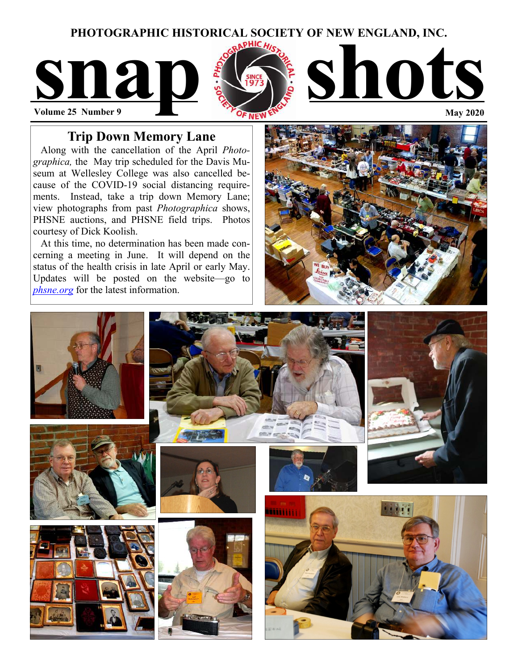## **PHOTOGRAPHIC HISTORICAL SOCIETY OF NEW ENGLAND, INC.**



# **Trip Down Memory Lane**

 Along with the cancellation of the April *Photographica,* the May trip scheduled for the Davis Museum at Wellesley College was also cancelled because of the COVID-19 social distancing requirements. Instead, take a trip down Memory Lane; view photographs from past *Photographica* shows, PHSNE auctions, and PHSNE field trips. Photos courtesy of Dick Koolish.

 At this time, no determination has been made concerning a meeting in June. It will depend on the status of the health crisis in late April or early May. Updates will be posted on the website—go to *phsne.org* for the latest information.



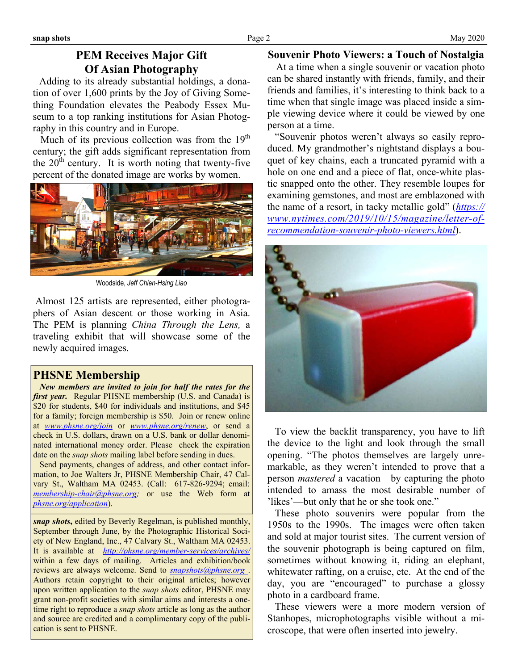# **PEM Receives Major Gift Of Asian Photography**

 Adding to its already substantial holdings, a donation of over 1,600 prints by the Joy of Giving Something Foundation elevates the Peabody Essex Museum to a top ranking institutions for Asian Photography in this country and in Europe.

Much of its previous collection was from the  $19<sup>th</sup>$ century; the gift adds significant representation from the  $20<sup>th</sup>$  century. It is worth noting that twenty-five percent of the donated image are works by women.



Woodside, *Jeff Chien-Hsing Liao* 

 Almost 125 artists are represented, either photographers of Asian descent or those working in Asia. The PEM is planning *China Through the Lens,* a traveling exhibit that will showcase some of the newly acquired images.

## **PHSNE Membership**

 *New members are invited to join for half the rates for the first year.* Regular PHSNE membership (U.S. and Canada) is \$20 for students, \$40 for individuals and institutions, and \$45 for a family; foreign membership is \$50. Join or renew online at *[www.phsne.org/join](http://www.phsne.org/join)* or *[www.phsne.org/renew](http://www.phsne.org/renew)*, or send a check in U.S. dollars, drawn on a U.S. bank or dollar denominated international money order. Please check the expiration date on the *snap shots* mailing label before sending in dues.

 Send payments, changes of address, and other contact information, to Joe Walters Jr, PHSNE Membership Chair, 47 Calvary St., Waltham MA 02453. (Call: 617-826-9294; email: *[membership-chair@phsne.org;](mailto:%20membership-chair@phsne.org)* or use the Web form at *[phsne.org/application](http://phsne.org/application)*).

*snap shots***,** edited by Beverly Regelman, is published monthly, September through June, by the Photographic Historical Society of New England, Inc., 47 Calvary St., Waltham MA 02453. It is available at *<http://phsne.org/member-services/archives/>* within a few days of mailing. Articles and exhibition/book reviews are always welcome. Send to *[snapshots@phsne.org](mailto:snapshots@phsne.org)* . Authors retain copyright to their original articles; however upon written application to the *snap shots* editor, PHSNE may grant non-profit societies with similar aims and interests a onetime right to reproduce a *snap shots* article as long as the author and source are credited and a complimentary copy of the publication is sent to PHSNE.

### **Souvenir Photo Viewers: a Touch of Nostalgia**

At a time when a single souvenir or vacation photo can be shared instantly with friends, family, and their friends and families, it's interesting to think back to a time when that single image was placed inside a simple viewing device where it could be viewed by one person at a time.

 "Souvenir photos weren't always so easily reproduced. My grandmother's nightstand displays a bouquet of key chains, each a truncated pyramid with a hole on one end and a piece of flat, once-white plastic snapped onto the other. They resemble loupes for examining gemstones, and most are emblazoned with the name of a resort, in tacky metallic gold" (*[https://](https://www.nytimes.com/2019/10/15/magazine/letter-of-recommendation-souvenir-photo-viewers.html) [www.nytimes.com/2019/10/15/magazine/letter-of](https://www.nytimes.com/2019/10/15/magazine/letter-of-recommendation-souvenir-photo-viewers.html)[recommendation-souvenir-photo-viewers.html](https://www.nytimes.com/2019/10/15/magazine/letter-of-recommendation-souvenir-photo-viewers.html)*).



 To view the backlit transparency, you have to lift the device to the light and look through the small opening. "The photos themselves are largely unremarkable, as they weren't intended to prove that a person *mastered* a vacation—by capturing the photo intended to amass the most desirable number of 'likes'—but only that he or she took one."

 These photo souvenirs were popular from the 1950s to the 1990s. The images were often taken and sold at major tourist sites. The current version of the souvenir photograph is being captured on film, sometimes without knowing it, riding an elephant, whitewater rafting, on a cruise, etc. At the end of the day, you are "encouraged" to purchase a glossy photo in a cardboard frame.

 These viewers were a more modern version of Stanhopes, microphotographs visible without a microscope, that were often inserted into jewelry.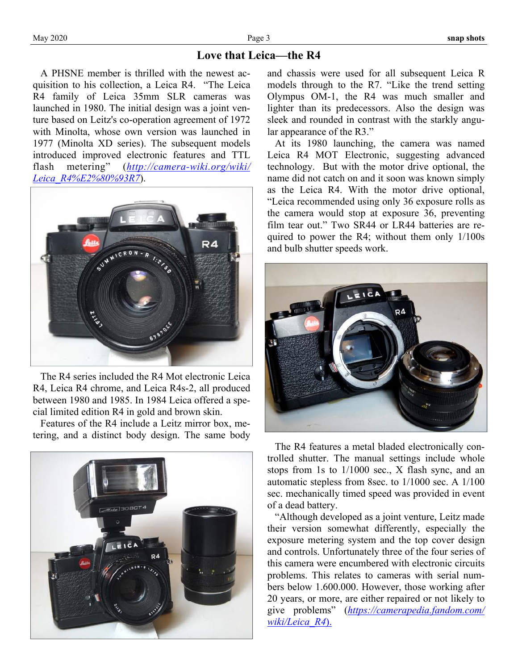## **Love that Leica—the R4**

 A PHSNE member is thrilled with the newest acquisition to his collection, a Leica R4. "The Leica R4 family of Leica 35mm SLR cameras was launched in 1980. The initial design was a joint venture based on Leitz's co-operation agreement of 1972 with Minolta, whose own version was launched in 1977 (Minolta XD series). The subsequent models introduced improved electronic features and TTL flash metering" (*[http://camera-wiki.org/wiki/](http://camera-wiki.org/wiki/Leica_R4%E2%80%93R7) [Leica\\_R4%E2%80%93R7](http://camera-wiki.org/wiki/Leica_R4%E2%80%93R7)*).



 The R4 series included the R4 Mot electronic Leica R4, Leica R4 chrome, and Leica R4s-2, all produced between 1980 and 1985. In 1984 Leica offered a special limited edition R4 in gold and brown skin.

 Features of the R4 include a Leitz mirror box, metering, and a distinct body design. The same body



and chassis were used for all subsequent Leica R models through to the R7. "Like the trend setting Olympus OM-1, the R4 was much smaller and lighter than its predecessors. Also the design was sleek and rounded in contrast with the starkly angular appearance of the R3."

 At its 1980 launching, the camera was named Leica R4 MOT Electronic, suggesting advanced technology. But with the motor drive optional, the name did not catch on and it soon was known simply as the Leica R4. With the motor drive optional, "Leica recommended using only 36 exposure rolls as the camera would stop at exposure 36, preventing film tear out." Two SR44 or LR44 batteries are required to power the R4; without them only 1/100s and bulb shutter speeds work.



 The R4 features a metal bladed electronically controlled shutter. The manual settings include whole stops from 1s to 1/1000 sec., X flash sync, and an automatic stepless from 8sec. to 1/1000 sec. A 1/100 sec. mechanically timed speed was provided in event of a dead battery.

 "Although developed as a joint venture, Leitz made their version somewhat differently, especially the exposure metering system and the top cover design and controls. Unfortunately three of the four series of this camera were encumbered with electronic circuits problems. This relates to cameras with serial numbers below 1.600.000. However, those working after 20 years, or more, are either repaired or not likely to give problems" (*[https://camerapedia.fandom.com/](https://camerapedia.fandom.com/wiki/Leica_R4) [wiki/Leica\\_R4](https://camerapedia.fandom.com/wiki/Leica_R4)*[\).](https://camerapedia.fandom.com/wiki/Leica_R4)